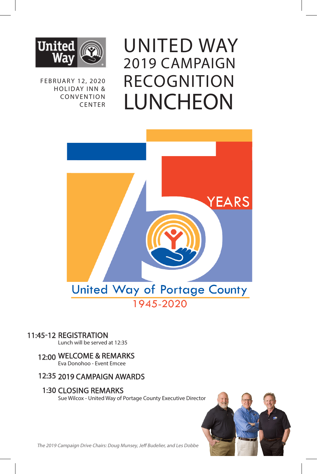

FEBRUARY 12, 2020 HOLIDAY INN & **CONVENTION** CENTER

UNITED WAY 2019 CAMPAIGN RECOGNITION LUNCHEON



#### 11:45-12 REGISTRATION

Lunch will be served at 12:35

#### 12:00 WELCOME & REMARKS

Eva Donohoo - Event Emcee

#### 12:35 2019 CAMPAIGN AWARDS

#### 1:30 CLOSING REMARKS

Sue Wilcox - United Way of Portage County Executive Director



The 2019 Campaign Drive Chairs: Doug Munsey, Jeff Budelier, and Les Dobbe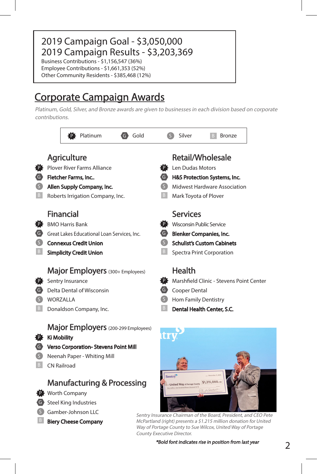# 2019 Campaign Goal - \$3,050,000 2019 Campaign Results - \$3,203,369

Business Contributions - \$1,156,547 (36%) Employee Contributions - \$1,661,353 (52%) Other Community Residents - \$385,468 (12%)

# Corporate Campaign Awards

Biery Cheese Company

Platinum, Gold, Silver, and Bronze awards are given to businesses in each division based on corporate contributions.



Sentry Insurance Chairman of the Board, President, and CEO Pete McPartland (right) presents a \$1.215 million donation for United Way of Portage County to Sue Wilcox, United Way of Portage County Executive Director.

\*Bold font indicates rise in position from last year

2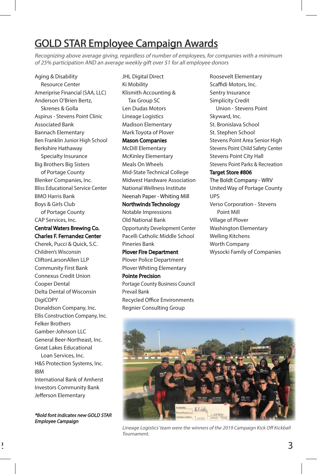# GOLD STAR Employee Campaign Awards

Recognizing above average giving, regardless of number of employees, for companies with a minimum of 25% participation AND an average weekly gift over \$1 for all employee donors

JHL Digital Direct

Aging & Disability Resource Center Ameriprise Financial (SAA, LLC) Anderson O'Brien Bertz, Skrenes & Golla Aspirus - Stevens Point Clinic Associated Bank Bannach Elementary Ben Franklin Junior High School Berkshire Hathaway Specialty Insurance Big Brothers Big Sisters of Portage County Blenker Companies, Inc. Bliss Educational Service Center BMO Harris Bank Boys & Girls Club of Portage County CAP Services, Inc.

#### Central Waters Brewing Co. Charles F. Fernandez Center

Cherek, Pucci & Quick, S.C. Children's Wisconsin CliftonLarsonAllen LLP Community First Bank Connexus Credit Union Cooper Dental Delta Dental of Wisconsin DigiCOPY Donaldson Company, Inc. Ellis Construction Company, Inc. Felker Brothers Gamber-Johnson LLC General Beer-Northeast, Inc. Great Lakes Educational Loan Services, Inc.

H&S Protection Systems, Inc. IBM International Bank of Amherst

Investors Community Bank Jefferson Elementary

\*Bold font indicates new GOLD STAR Employee Campaign

2

Ki Mobility Klismith Accounting & Tax Group SC Len Dudas Motors Lineage Logistics Madison Elementary Mark Toyota of Plover Mason Companies McDill Elementary McKinley Elementary Meals On Wheels Mid-State Technical College Midwest Hardware Association National Wellness Institute Neenah Paper - Whiting Mill

#### Northwinds Technology

Notable Impressions Old National Bank Opportunity Development Center Pacelli Catholic Middle School Pineries Bank

Plover Fire Department Plover Police Department Plover Whiting Elementary

#### Pointe Precision Portage County Business Council

Prevail Bank Recycled Office Environments Regnier Consulting Group

Roosevelt Elementary Scaffidi Motors, Inc. Sentry Insurance Simplicity Credit Union - Stevens Point Skyward, Inc. St. Bronislava School St. Stephen School Stevens Point Area Senior High Stevens Point Child Safety Center Stevens Point City Hall Stevens Point Parks & Recreation Target Store #806

#### The Boldt Company - WRV

United Way of Portage County UPS Verso Corporation - Stevens Point Mill Village of Plover Washington Elementary Welling Kitchens Worth Company Wysocki Family of Companies



Lineage Logistics' team were the winners of the 2019 Campaign Kick Off Kickball Tournament.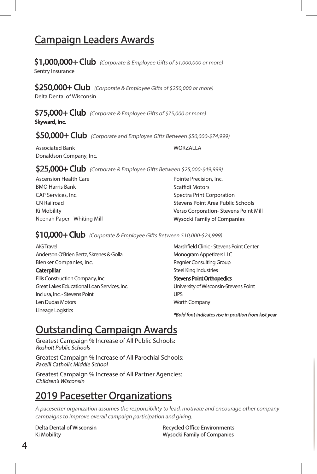# Campaign Leaders Awards

 $$1,000,000+$  Club (Corporate & Employee Gifts of \$1,000,000 or more) Sentry Insurance

\$250,000+ Club (Corporate & Employee Gifts of \$250,000 or more) Delta Dental of Wisconsin

\$75.000+ Club (Corporate & Employee Gifts of \$75,000 or more) Skyward, Inc.

 $$50,000+$  Club (Corporate and Employee Gifts Between \$50,000-\$74,999)

Associated Bank Donaldson Company, Inc. WORZALLA

\$25,000+ Club (Corporate & Employee Gifts Between \$25,000-\$49,999)

Ascension Health Care BMO Harris Bank CAP Services, Inc. CN Railroad Ki Mobility Neenah Paper - Whiting Mill Pointe Precision, Inc. Scaffidi Motors Spectra Print Corporation Stevens Point Area Public Schools Verso Corporation- Stevens Point Mill Wysocki Family of Companies

\$10,000+ Club (Corporate & Employee Gifts Between \$10,000-\$24,999)

AIG Travel Anderson O'Brien Bertz, Skrenes & Golla Blenker Companies, Inc.

#### **Caterpillar**

Ellis Construction Company, Inc. Great Lakes Educational Loan Services, Inc. Inclusa, Inc. - Stevens Point Len Dudas Motors Lineage Logistics

Marshfield Clinic - Stevens Point Center Monogram Appetizers LLC Regnier Consulting Group Steel King Industries Stevens Point Orthopedics University of Wisconsin-Stevens Point UPS Worth Company

\*Bold font indicates rise in position from last year

# Outstanding Campaign Awards

Greatest Campaign % Increase of All Public Schools: Rosholt Public Schools

Greatest Campaign % Increase of All Parochial Schools: Pacelli Catholic Middle School

Greatest Campaign % Increase of All Partner Agencies: Children's Wisconsin

# 2019 Pacesetter Organizations

A pacesetter organization assumes the responsibility to lead, motivate and encourage other company campaigns to improve overall campaign participation and giving.

Delta Dental of Wisconsin Ki Mobility

Recycled Office Environments Wysocki Family of Companies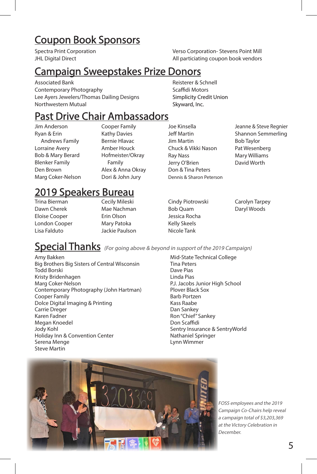# Coupon Book Sponsors

Spectra Print Corporation **JHL Digital Direct** 

Verso Corporation- Stevens Point Mill All particiating coupon book vendors

# Campaign Sweepstakes Prize Donors

Associated Bank Contemporary Photography Lee Ayers Jewelers/Thomas Dailing Designs Northwestern Mutual

## Past Drive Chair Ambassadors

Jim Anderson Ryan & Erin Andrews Family Lorraine Avery Bob & Mary Berard Blenker Family Den Brown Marg Coker-Nelson Cooper Family Kathy Davies Bernie Hlavac Amber Houck Hofmeister/Okray Family Alex & Anna Okray Dori & John Jury

# 2019 Speakers Bureau

Trina Bierman Dawn Cherek Eloise Cooper London Cooper Lisa Falduto

Cecily Mileski Mae Nachman Erin Olson Mary Patoka Jackie Paulson Joe Kinsella Jeff Martin Jim Martin Chuck & Vikki Nason Ray Nass Jerry O'Brien Don & Tina Peters Dennis & Sharon Peterson

Reisterer & Schnell Scaffidi Motors Simplicity Credit Union Skyward, Inc.

> Jeanne & Steve Regnier Shannon Semmerling Bob Taylor Pat Wesenberg Mary Williams David Worth

Cindy Piotrowski Bob Quam Jessica Rocha Kelly Skeels Nicole Tank

Carolyn Tarpey Daryl Woods

Amy Bakken Big Brothers Big Sisters of Central Wisconsin Todd Borski Kristy Bridenhagen Marg Coker-Nelson Contemporary Photography (John Hartman) Cooper Family Dolce Digital Imaging & Printing Carrie Dreger Karen Fadner Megan Knoedel Jody Kohl Holiday Inn & Convention Center Serena Menge Steve Martin

**Special Thanks** (For going above & beyond in support of the 2019 Campaign)

Mid-State Technical College Tina Peters Dave Pias Linda Pias P.J. Jacobs Junior High School Plover Black Sox Barb Portzen Kass Raabe Dan Sankey Ron "Chief" Sankey Don Scaffidi Sentry Insurance & SentryWorld Nathaniel Springer Lynn Wimmer



FOSS employees and the 2019 Campaign Co-Chairs help reveal a campaign total of \$3,203,369 at the Victory Celebration in December.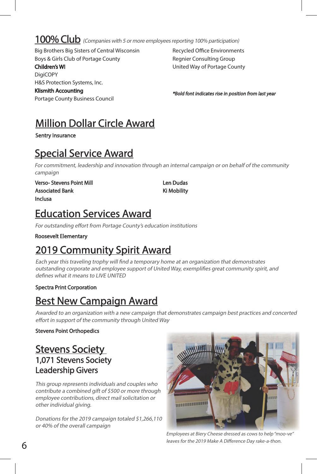# 100% Club (Companies with 5 or more employees reporting 100% participation)

Big Brothers Big Sisters of Central Wisconsin Boys & Girls Club of Portage County

Children's WI

**DigiCOPY** H&S Protection Systems, Inc. Klismith Accounting

Portage County Business Council

Recycled Office Environments Regnier Consulting Group United Way of Portage County

\*Bold font indicates rise in position from last year

# Million Dollar Circle Award

Sentry Insurance

# Special Service Award

For commitment, leadership and innovation through an internal campaign or on behalf of the community campaign

Verso- Stevens Point Mill Associated Bank Inclusa

Len Dudas Ki Mobility

# Education Services Award

For outstanding effort from Portage County's education institutions

Roosevelt Elementary

# 2019 Community Spirit Award

Each year this traveling trophy will find a temporary home at an organization that demonstrates outstanding corporate and employee support of United Way, exemplifies great community spirit, and defines what it means to LIVE UNITED

#### Spectra Print Corporation

# Best New Campaign Award

Awarded to an organization with a new campaign that demonstrates campaign best practices and concerted effort in support of the community through United Way

#### Stevens Point Orthopedics

### Stevens Society 1,071 Stevens Society Leadership Givers

This group represents individuals and couples who contribute a combined gift of \$500 or more through employee contributions, direct mail solicitation or other individual giving.

Donations for the 2019 campaign totaled \$1,266,110 or 40% of the overall campaign



Employees at Biery Cheese dressed as cows to help "moo-ve" leaves for the 2019 Make A Difference Day rake-a-thon.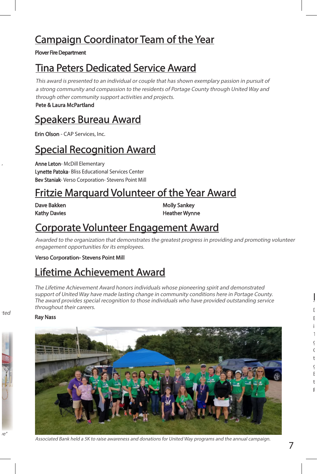# Campaign Coordinator Team of the Year

#### Plover Fire Department

# Tina Peters Dedicated Service Award

This award is presented to an individual or couple that has shown exemplary passion in pursuit of a strong community and compassion to the residents of Portage County through United Way and through other community support activities and projects.

Pete & Laura McPartland

# Speakers Bureau Award

Erin Olson - CAP Services, Inc.

# Special Recognition Award

Anne Leton- McDill Elementary Lynette Patoka- Bliss Educational Services Center Bev Staniak- Verso Corporation- Stevens Point Mill

# Fritzie Marquard Volunteer of the Year Award

Dave Bakken Kathy Davies

Molly Sankey Heather Wynne

# Corporate Volunteer Engagement Award

Awarded to the organization that demonstrates the greatest progress in providing and promoting volunteer engagement opportunities for its employees.

Verso Corporation- Stevens Point Mill

# Lifetime Achievement Award

The Lifetime Achievement Award honors individuals whose pioneering spirit and demonstrated support of United Way have made lasting change in community conditions here in Portage County. The award provides special recognition to those individuals who have provided outstanding service throughout their careers.

#### Ray Nass



Associated Bank held a 5K to raise awareness and donations for United Way programs and the annual campaign.

 $\mathfrak l$ E<sub>nv</sub>ironments Point, donated and localization (R) era en localization (R) era en localization (R) era en localization (R) era en localization (R) era en localization (R) era en localization (R) era en localization (R) era i  $1$  $\epsilon$  $\zeta$ t  $\ddot{\epsilon}$ Budelier, today, to reside at ROE as a token of our

Plaque Dedication

t F .

 $\epsilon$